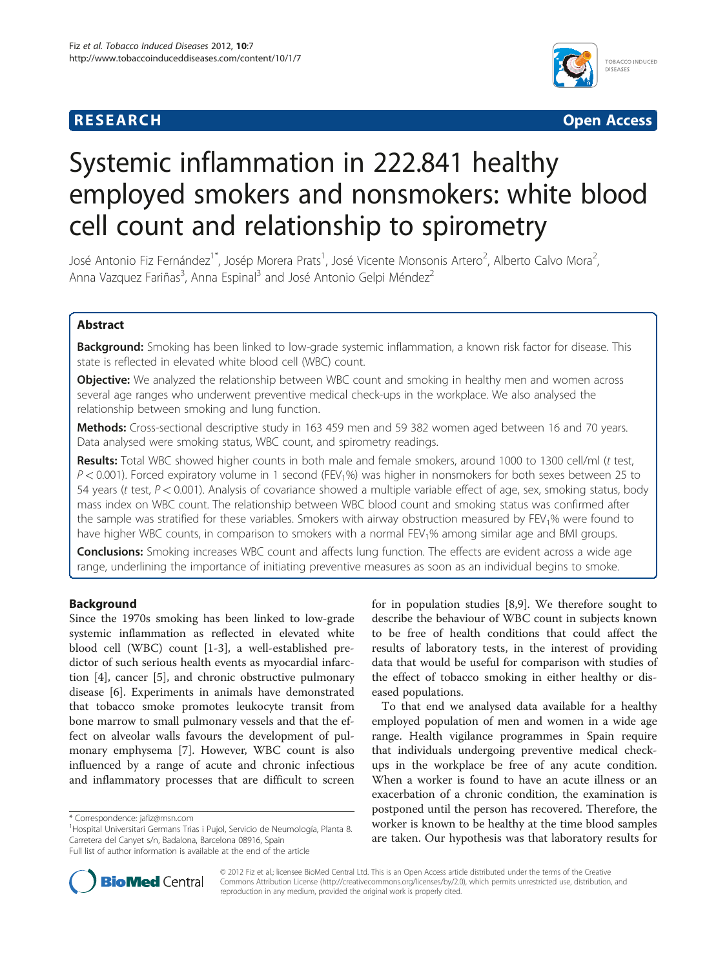# **RESEARCH RESEARCH** *CHECKER CHECKER CHECKER CHECKER CHECKER CHECKER CHECKER CHECKER CHECKER CHECKER CHECKER*



# Systemic inflammation in 222.841 healthy employed smokers and nonsmokers: white blood cell count and relationship to spirometry

José Antonio Fiz Fernández<sup>1\*</sup>, Josép Morera Prats<sup>1</sup>, José Vicente Monsonis Artero<sup>2</sup>, Alberto Calvo Mora<sup>2</sup> .<br>, Anna Vazquez Fariñas<sup>3</sup>, Anna Espinal<sup>3</sup> and José Antonio Gelpi Méndez<sup>2</sup>

# Abstract

Background: Smoking has been linked to low-grade systemic inflammation, a known risk factor for disease. This state is reflected in elevated white blood cell (WBC) count.

**Objective:** We analyzed the relationship between WBC count and smoking in healthy men and women across several age ranges who underwent preventive medical check-ups in the workplace. We also analysed the relationship between smoking and lung function.

Methods: Cross-sectional descriptive study in 163 459 men and 59 382 women aged between 16 and 70 years. Data analysed were smoking status, WBC count, and spirometry readings.

Results: Total WBC showed higher counts in both male and female smokers, around 1000 to 1300 cell/ml (t test,  $P < 0.001$ ). Forced expiratory volume in 1 second (FEV<sub>1</sub>%) was higher in nonsmokers for both sexes between 25 to 54 years (t test,  $P < 0.001$ ). Analysis of covariance showed a multiple variable effect of age, sex, smoking status, body mass index on WBC count. The relationship between WBC blood count and smoking status was confirmed after the sample was stratified for these variables. Smokers with airway obstruction measured by FEV1% were found to have higher WBC counts, in comparison to smokers with a normal FEV<sub>1</sub>% among similar age and BMI groups.

**Conclusions:** Smoking increases WBC count and affects lung function. The effects are evident across a wide age range, underlining the importance of initiating preventive measures as soon as an individual begins to smoke.

# Background

Since the 1970s smoking has been linked to low-grade systemic inflammation as reflected in elevated white blood cell (WBC) count [\[1](#page-6-0)-[3\]](#page-6-0), a well-established predictor of such serious health events as myocardial infarction [\[4](#page-6-0)], cancer [[5](#page-6-0)], and chronic obstructive pulmonary disease [[6\]](#page-6-0). Experiments in animals have demonstrated that tobacco smoke promotes leukocyte transit from bone marrow to small pulmonary vessels and that the effect on alveolar walls favours the development of pulmonary emphysema [\[7](#page-6-0)]. However, WBC count is also influenced by a range of acute and chronic infectious and inflammatory processes that are difficult to screen for in population studies [\[8,9](#page-6-0)]. We therefore sought to describe the behaviour of WBC count in subjects known to be free of health conditions that could affect the results of laboratory tests, in the interest of providing data that would be useful for comparison with studies of the effect of tobacco smoking in either healthy or diseased populations.

To that end we analysed data available for a healthy employed population of men and women in a wide age range. Health vigilance programmes in Spain require that individuals undergoing preventive medical checkups in the workplace be free of any acute condition. When a worker is found to have an acute illness or an exacerbation of a chronic condition, the examination is postponed until the person has recovered. Therefore, the worker is known to be healthy at the time blood samples are taken. Our hypothesis was that laboratory results for



© 2012 Fiz et al.; licensee BioMed Central Ltd. This is an Open Access article distributed under the terms of the Creative Commons Attribution License [\(http://creativecommons.org/licenses/by/2.0\)](http://creativecommons.org/licenses/by/2.0), which permits unrestricted use, distribution, and reproduction in any medium, provided the original work is properly cited.

<sup>\*</sup> Correspondence: [jafiz@msn.com](mailto:jafiz@msn.com) <sup>1</sup>

<sup>&</sup>lt;sup>1</sup> Hospital Universitari Germans Trias i Pujol, Servicio de Neumología, Planta 8. Carretera del Canyet s/n, Badalona, Barcelona 08916, Spain

Full list of author information is available at the end of the article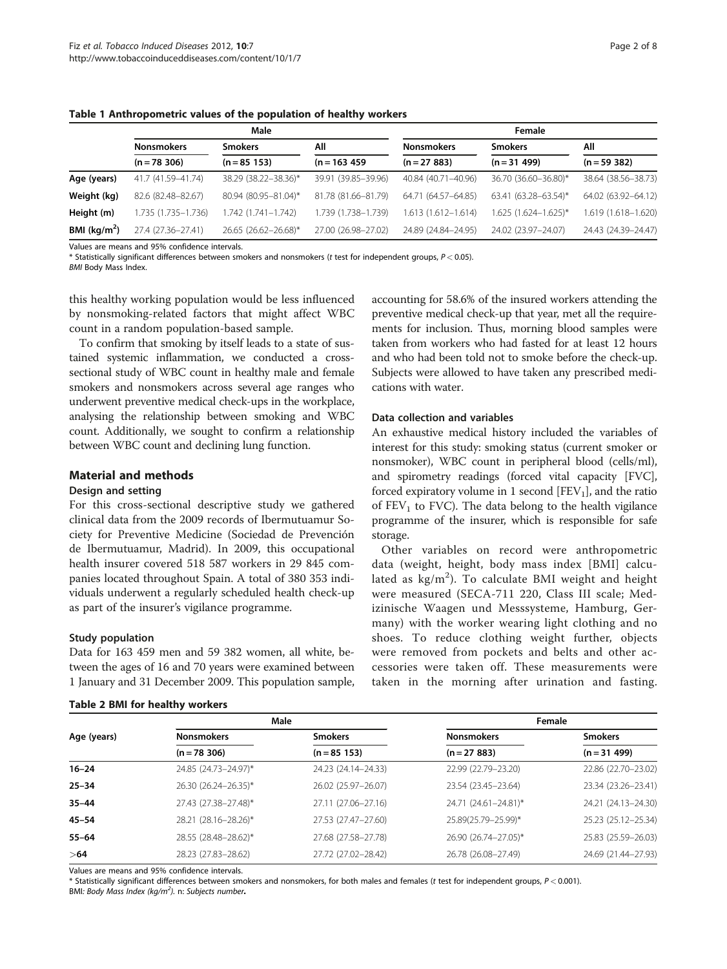|               | Male                |                      |                     | Female              |                        |                     |  |
|---------------|---------------------|----------------------|---------------------|---------------------|------------------------|---------------------|--|
|               | <b>Nonsmokers</b>   | <b>Smokers</b>       | All                 | <b>Nonsmokers</b>   | <b>Smokers</b>         | All                 |  |
|               | $(n = 78, 306)$     | $(n = 85 153)$       | $(n = 163 459)$     | $(n = 27 883)$      | $(n=31 499)$           | $(n = 59382)$       |  |
| Age (years)   | 41.7 (41.59-41.74)  | 38.29 (38.22-38.36)* | 39.91 (39.85-39.96) | 40.84 (40.71-40.96) | 36.70 (36.60-36.80)*   | 38.64 (38.56-38.73) |  |
| Weight (kg)   | 82.6 (82.48-82.67)  | 80.94 (80.95-81.04)* | 81.78 (81.66-81.79) | 64.71 (64.57-64.85) | 63.41 (63.28-63.54)*   | 64.02 (63.92-64.12) |  |
| Height (m)    | 1.735 (1.735-1.736) | 1.742 (1.741-1.742)  | 1.739 (1.738-1.739) | 1.613 (1.612-1.614) | $1.625$ (1.624-1.625)* | 1.619 (1.618-1.620) |  |
| BMI $(kq/m2)$ | 27.4 (27.36-27.41)  | 26.65 (26.62-26.68)* | 27.00 (26.98-27.02) | 24.89 (24.84-24.95) | 24.02 (23.97-24.07)    | 24.43 (24.39-24.47) |  |

<span id="page-1-0"></span>Table 1 Anthropometric values of the population of healthy workers

Values are means and 95% confidence intervals.

\* Statistically significant differences between smokers and nonsmokers (t test for independent groups,  $P < 0.05$ ).

BMI Body Mass Index.

this healthy working population would be less influenced by nonsmoking-related factors that might affect WBC count in a random population-based sample.

To confirm that smoking by itself leads to a state of sustained systemic inflammation, we conducted a crosssectional study of WBC count in healthy male and female smokers and nonsmokers across several age ranges who underwent preventive medical check-ups in the workplace, analysing the relationship between smoking and WBC count. Additionally, we sought to confirm a relationship between WBC count and declining lung function.

# Material and methods

#### Design and setting

For this cross-sectional descriptive study we gathered clinical data from the 2009 records of Ibermutuamur Society for Preventive Medicine (Sociedad de Prevención de Ibermutuamur, Madrid). In 2009, this occupational health insurer covered 518 587 workers in 29 845 companies located throughout Spain. A total of 380 353 individuals underwent a regularly scheduled health check-up as part of the insurer's vigilance programme.

# Study population

Data for 163 459 men and 59 382 women, all white, between the ages of 16 and 70 years were examined between 1 January and 31 December 2009. This population sample,

#### Table 2 BMI for healthy workers

accounting for 58.6% of the insured workers attending the preventive medical check-up that year, met all the requirements for inclusion. Thus, morning blood samples were taken from workers who had fasted for at least 12 hours and who had been told not to smoke before the check-up. Subjects were allowed to have taken any prescribed medications with water.

# Data collection and variables

An exhaustive medical history included the variables of interest for this study: smoking status (current smoker or nonsmoker), WBC count in peripheral blood (cells/ml), and spirometry readings (forced vital capacity [FVC], forced expiratory volume in 1 second  $[FEV<sub>1</sub>]$ , and the ratio of  $FEV<sub>1</sub>$  to FVC). The data belong to the health vigilance programme of the insurer, which is responsible for safe storage.

Other variables on record were anthropometric data (weight, height, body mass index [BMI] calculated as  $\text{kg/m}^2$ ). To calculate BMI weight and height were measured (SECA-711 220, Class III scale; Medizinische Waagen und Messsysteme, Hamburg, Germany) with the worker wearing light clothing and no shoes. To reduce clothing weight further, objects were removed from pockets and belts and other accessories were taken off. These measurements were taken in the morning after urination and fasting.

|             | Male                 |                     | Female               |                     |  |
|-------------|----------------------|---------------------|----------------------|---------------------|--|
| Age (years) | <b>Nonsmokers</b>    | <b>Smokers</b>      | <b>Nonsmokers</b>    | <b>Smokers</b>      |  |
|             | $(n = 78, 306)$      | $(n = 85 153)$      | $(n = 27 883)$       | $(n = 31 499)$      |  |
| $16 - 24$   | 24.85 (24.73-24.97)* | 24.23 (24.14-24.33) | 22.99 (22.79-23.20)  | 22.86 (22.70-23.02) |  |
| $25 - 34$   | 26.30 (26.24-26.35)* | 26.02 (25.97-26.07) | 23.54 (23.45-23.64)  | 23.34 (23.26-23.41) |  |
| $35 - 44$   | 27.43 (27.38-27.48)* | 27.11 (27.06-27.16) | 24.71 (24.61-24.81)* | 24.21 (24.13-24.30) |  |
| 45–54       | 28.21 (28.16-28.26)* | 27.53 (27.47-27.60) | 25.89(25.79-25.99)*  | 25.23 (25.12-25.34) |  |
| $55 - 64$   | 28.55 (28.48-28.62)* | 27.68 (27.58-27.78) | 26.90 (26.74-27.05)* | 25.83 (25.59-26.03) |  |
| >64         | 28.23 (27.83-28.62)  | 27.72 (27.02-28.42) | 26.78 (26.08-27.49)  | 24.69 (21.44-27.93) |  |

Values are means and 95% confidence intervals.

\* Statistically significant differences between smokers and nonsmokers, for both males and females (t test for independent groups, P < 0.001). BMI: Body Mass Index (kg/m<sup>2</sup>). n: Subjects number.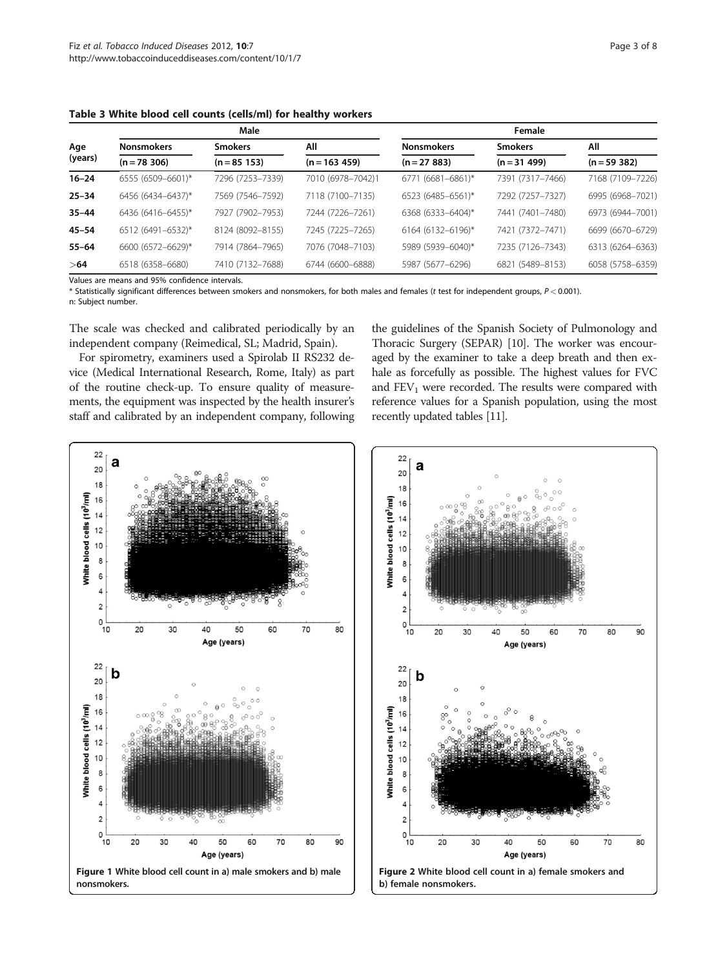|           |                   | Male             |                   | Female            |                  |                  |
|-----------|-------------------|------------------|-------------------|-------------------|------------------|------------------|
| Age       | <b>Nonsmokers</b> | <b>Smokers</b>   | All               | <b>Nonsmokers</b> | <b>Smokers</b>   | All              |
| (years)   | $(n = 78, 306)$   | $(n = 85 153)$   | $(n = 163 459)$   | $(n = 27 883)$    | $(n = 31 499)$   | $(n = 59 382)$   |
| $16 - 24$ | 6555 (6509-6601)* | 7296 (7253-7339) | 7010 (6978-7042)1 | 6771 (6681-6861)* | 7391 (7317-7466) | 7168 (7109-7226) |
| $25 - 34$ | 6456 (6434-6437)* | 7569 (7546-7592) | 7118 (7100-7135)  | 6523 (6485-6561)* | 7292 (7257-7327) | 6995 (6968-7021) |
| $35 - 44$ | 6436 (6416-6455)* | 7927 (7902-7953) | 7244 (7226-7261)  | 6368 (6333-6404)* | 7441 (7401-7480) | 6973 (6944-7001) |
| 45–54     | 6512 (6491-6532)* | 8124 (8092-8155) | 7245 (7225-7265)  | 6164 (6132-6196)* | 7421 (7372-7471) | 6699 (6670-6729) |
| $55 - 64$ | 6600 (6572-6629)* | 7914 (7864-7965) | 7076 (7048-7103)  | 5989 (5939-6040)* | 7235 (7126-7343) | 6313 (6264-6363) |
| >64       | 6518 (6358-6680)  | 7410 (7132-7688) | 6744 (6600-6888)  | 5987 (5677-6296)  | 6821 (5489-8153) | 6058 (5758-6359) |

<span id="page-2-0"></span>Table 3 White blood cell counts (cells/ml) for healthy workers

Values are means and 95% confidence intervals.

\* Statistically significant differences between smokers and nonsmokers, for both males and females (t test for independent groups, P < 0.001).

n: Subject number.

The scale was checked and calibrated periodically by an independent company (Reimedical, SL; Madrid, Spain).

For spirometry, examiners used a Spirolab II RS232 device (Medical International Research, Rome, Italy) as part of the routine check-up. To ensure quality of measurements, the equipment was inspected by the health insurer's staff and calibrated by an independent company, following

the guidelines of the Spanish Society of Pulmonology and Thoracic Surgery (SEPAR) [\[10](#page-6-0)]. The worker was encouraged by the examiner to take a deep breath and then exhale as forcefully as possible. The highest values for FVC and  $FEV<sub>1</sub>$  were recorded. The results were compared with reference values for a Spanish population, using the most recently updated tables [\[11\]](#page-6-0).



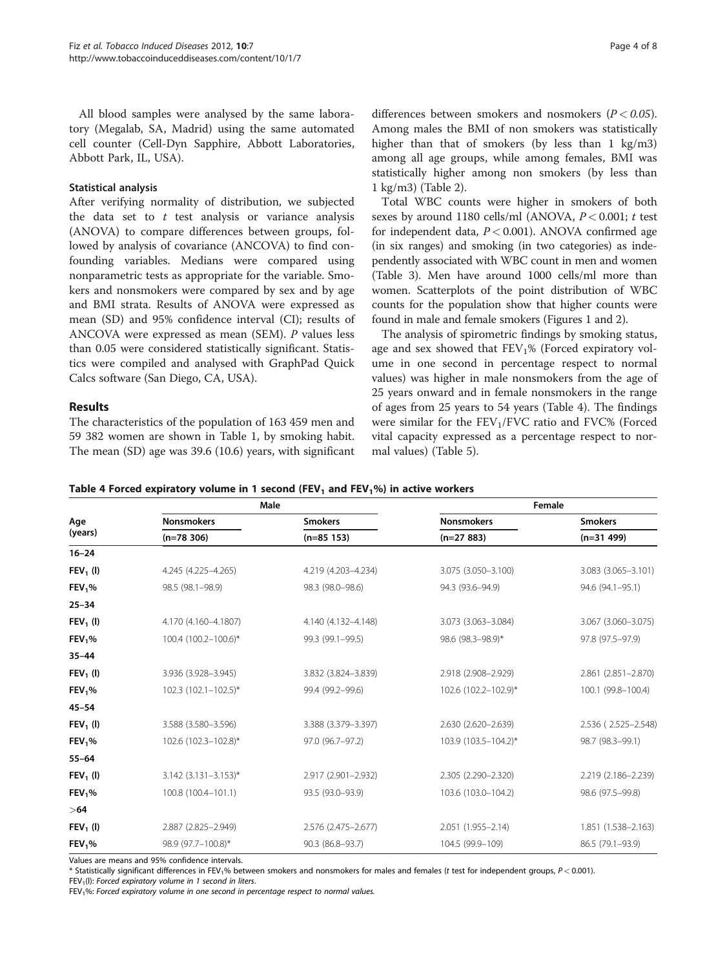All blood samples were analysed by the same laboratory (Megalab, SA, Madrid) using the same automated cell counter (Cell-Dyn Sapphire, Abbott Laboratories, Abbott Park, IL, USA).

## Statistical analysis

After verifying normality of distribution, we subjected the data set to  $t$  test analysis or variance analysis (ANOVA) to compare differences between groups, followed by analysis of covariance (ANCOVA) to find confounding variables. Medians were compared using nonparametric tests as appropriate for the variable. Smokers and nonsmokers were compared by sex and by age and BMI strata. Results of ANOVA were expressed as mean (SD) and 95% confidence interval (CI); results of ANCOVA were expressed as mean (SEM). P values less than 0.05 were considered statistically significant. Statistics were compiled and analysed with GraphPad Quick Calcs software (San Diego, CA, USA).

# Results

The characteristics of the population of 163 459 men and 59 382 women are shown in Table [1,](#page-1-0) by smoking habit. The mean (SD) age was 39.6 (10.6) years, with significant

differences between smokers and nosmokers  $(P < 0.05)$ . Among males the BMI of non smokers was statistically higher than that of smokers (by less than 1 kg/m3) among all age groups, while among females, BMI was statistically higher among non smokers (by less than 1 kg/m3) (Table [2](#page-1-0)).

Total WBC counts were higher in smokers of both sexes by around 1180 cells/ml (ANOVA,  $P < 0.001$ ; t test for independent data,  $P < 0.001$ ). ANOVA confirmed age (in six ranges) and smoking (in two categories) as independently associated with WBC count in men and women (Table [3\)](#page-2-0). Men have around 1000 cells/ml more than women. Scatterplots of the point distribution of WBC counts for the population show that higher counts were found in male and female smokers (Figures [1](#page-2-0) and [2\)](#page-2-0).

The analysis of spirometric findings by smoking status, age and sex showed that  $FEV<sub>1</sub>%$  (Forced expiratory volume in one second in percentage respect to normal values) was higher in male nonsmokers from the age of 25 years onward and in female nonsmokers in the range of ages from 25 years to 54 years (Table 4). The findings were similar for the  $FEV<sub>1</sub>/FVC$  ratio and  $FVC%$  (Forced vital capacity expressed as a percentage respect to normal values) (Table [5](#page-4-0)).

Table 4 Forced expiratory volume in 1 second (FEV<sub>1</sub> and FEV<sub>1</sub>%) in active workers

|                    | Male                   |                     |                      | Female              |  |
|--------------------|------------------------|---------------------|----------------------|---------------------|--|
| Age                | <b>Nonsmokers</b>      | <b>Smokers</b>      | <b>Nonsmokers</b>    | <b>Smokers</b>      |  |
| (years)            | $(n=78, 306)$          | $(n=85 153)$        | $(n=27883)$          | $(n=31 499)$        |  |
| $16 - 24$          |                        |                     |                      |                     |  |
| $FEV1$ (I)         | 4.245 (4.225-4.265)    | 4.219 (4.203-4.234) | 3.075 (3.050-3.100)  | 3.083 (3.065-3.101) |  |
| FEV <sub>1</sub> % | 98.5 (98.1-98.9)       | 98.3 (98.0-98.6)    | 94.3 (93.6-94.9)     | 94.6 (94.1-95.1)    |  |
| $25 - 34$          |                        |                     |                      |                     |  |
| $FEV1$ (I)         | 4.170 (4.160-4.1807)   | 4.140 (4.132-4.148) | 3.073 (3.063-3.084)  | 3.067 (3.060-3.075) |  |
| FEV <sub>1</sub> % | 100.4 (100.2-100.6)*   | 99.3 (99.1-99.5)    | 98.6 (98.3-98.9)*    | 97.8 (97.5-97.9)    |  |
| $35 - 44$          |                        |                     |                      |                     |  |
| $FEV1$ (I)         | 3.936 (3.928-3.945)    | 3.832 (3.824-3.839) | 2.918 (2.908-2.929)  | 2.861 (2.851-2.870) |  |
| FEV <sub>1</sub> % | 102.3 (102.1-102.5)*   | 99.4 (99.2-99.6)    | 102.6 (102.2-102.9)* | 100.1 (99.8-100.4)  |  |
| $45 - 54$          |                        |                     |                      |                     |  |
| $FEV1$ (I)         | 3.588 (3.580-3.596)    | 3.388 (3.379-3.397) | 2.630 (2.620-2.639)  | 2.536 (2.525-2.548) |  |
| FEV <sub>1</sub> % | 102.6 (102.3-102.8)*   | 97.0 (96.7-97.2)    | 103.9 (103.5-104.2)* | 98.7 (98.3-99.1)    |  |
| $55 - 64$          |                        |                     |                      |                     |  |
| $FEV_1$ (I)        | $3.142$ (3.131-3.153)* | 2.917 (2.901-2.932) | 2.305 (2.290-2.320)  | 2.219 (2.186-2.239) |  |
| FEV <sub>1</sub> % | 100.8 (100.4-101.1)    | 93.5 (93.0-93.9)    | 103.6 (103.0-104.2)  | 98.6 (97.5-99.8)    |  |
| $>\,64$            |                        |                     |                      |                     |  |
| $FEV1$ (I)         | 2.887 (2.825-2.949)    | 2.576 (2.475-2.677) | 2.051 (1.955-2.14)   | 1.851 (1.538-2.163) |  |
| FEV <sub>1</sub> % | 98.9 (97.7-100.8)*     | 90.3 (86.8-93.7)    | 104.5 (99.9-109)     | 86.5 (79.1-93.9)    |  |

Values are means and 95% confidence intervals.

\* Statistically significant differences in FEV<sub>1</sub>% between smokers and nonsmokers for males and females (t test for independent groups,  $P < 0.001$ ).

FEV<sub>1</sub>(I): Forced expiratory volume in 1 second in liters.

FEV1%: Forced expiratory volume in one second in percentage respect to normal values.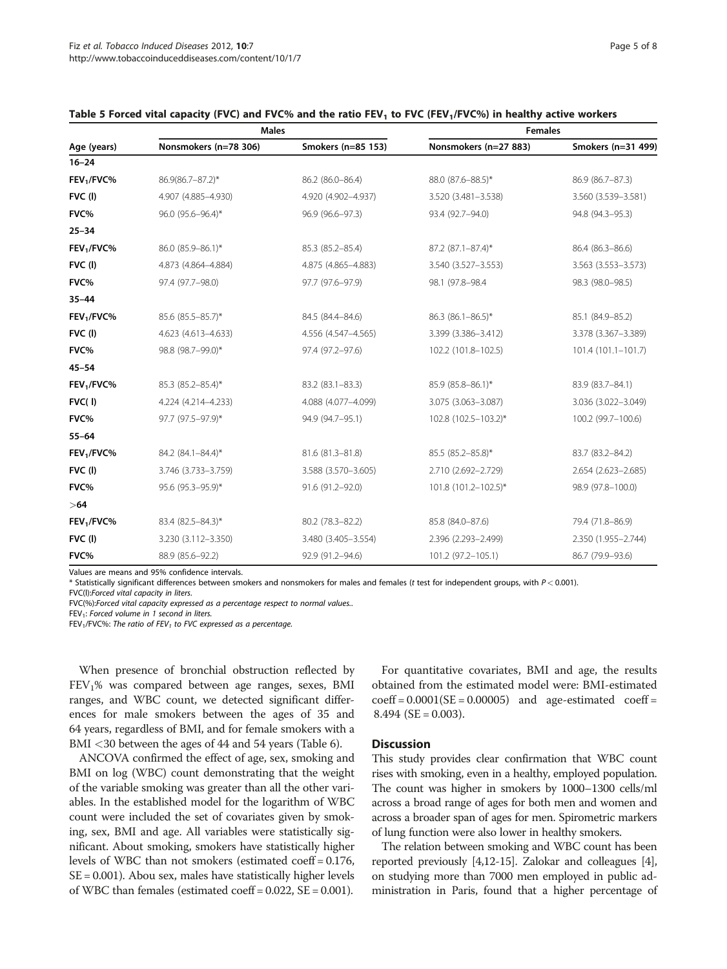|                        | <b>Males</b>          |                     | <b>Females</b>        |                     |  |  |
|------------------------|-----------------------|---------------------|-----------------------|---------------------|--|--|
| Age (years)            | Nonsmokers (n=78 306) | Smokers (n=85 153)  | Nonsmokers (n=27 883) | Smokers (n=31 499)  |  |  |
| $16 - 24$              |                       |                     |                       |                     |  |  |
| FEV <sub>1</sub> /FVC% | 86.9(86.7-87.2)*      | 86.2 (86.0-86.4)    | 88.0 (87.6-88.5)*     | 86.9 (86.7-87.3)    |  |  |
| $FVC$ (l)              | 4.907 (4.885-4.930)   | 4.920 (4.902-4.937) | 3.520 (3.481-3.538)   | 3.560 (3.539-3.581) |  |  |
| FVC%                   | 96.0 (95.6-96.4)*     | 96.9 (96.6-97.3)    | 93.4 (92.7-94.0)      | 94.8 (94.3-95.3)    |  |  |
| $25 - 34$              |                       |                     |                       |                     |  |  |
| FEV <sub>1</sub> /FVC% | 86.0 (85.9-86.1)*     | 85.3 (85.2-85.4)    | 87.2 (87.1-87.4)*     | 86.4 (86.3-86.6)    |  |  |
| FVC(I)                 | 4.873 (4.864-4.884)   | 4.875 (4.865-4.883) | 3.540 (3.527-3.553)   | 3.563 (3.553-3.573) |  |  |
| FVC%                   | 97.4 (97.7-98.0)      | 97.7 (97.6-97.9)    | 98.1 (97.8-98.4)      | 98.3 (98.0-98.5)    |  |  |
| $35 - 44$              |                       |                     |                       |                     |  |  |
| FEV <sub>1</sub> /FVC% | 85.6 (85.5-85.7)*     | 84.5 (84.4-84.6)    | 86.3 (86.1-86.5)*     | 85.1 (84.9-85.2)    |  |  |
| $FVC$ (l)              | 4.623 (4.613-4.633)   | 4.556 (4.547-4.565) | 3.399 (3.386-3.412)   | 3.378 (3.367-3.389) |  |  |
| FVC%                   | 98.8 (98.7-99.0)*     | 97.4 (97.2-97.6)    | 102.2 (101.8-102.5)   | 101.4 (101.1-101.7) |  |  |
| $45 - 54$              |                       |                     |                       |                     |  |  |
| FEV <sub>1</sub> /FVC% | 85.3 (85.2-85.4)*     | 83.2 (83.1-83.3)    | 85.9 (85.8-86.1)*     | 83.9 (83.7-84.1)    |  |  |
| FVC(1)                 | 4.224 (4.214-4.233)   | 4.088 (4.077-4.099) | 3.075 (3.063-3.087)   | 3.036 (3.022-3.049) |  |  |
| FVC%                   | 97.7 (97.5-97.9)*     | 94.9 (94.7-95.1)    | 102.8 (102.5-103.2)*  | 100.2 (99.7-100.6)  |  |  |
| $55 - 64$              |                       |                     |                       |                     |  |  |
| FEV <sub>1</sub> /FVC% | 84.2 (84.1-84.4)*     | 81.6 (81.3-81.8)    | 85.5 (85.2-85.8)*     | 83.7 (83.2-84.2)    |  |  |
| $FVC$ (l)              | 3.746 (3.733-3.759)   | 3.588 (3.570-3.605) | 2.710 (2.692-2.729)   | 2.654 (2.623-2.685) |  |  |
| FVC%                   | 95.6 (95.3-95.9)*     | 91.6 (91.2-92.0)    | 101.8 (101.2-102.5)*  | 98.9 (97.8-100.0)   |  |  |
| >64                    |                       |                     |                       |                     |  |  |
| FEV <sub>1</sub> /FVC% | 83.4 (82.5-84.3)*     | 80.2 (78.3-82.2)    | 85.8 (84.0-87.6)      | 79.4 (71.8-86.9)    |  |  |
| FVC(I)                 | 3.230 (3.112-3.350)   | 3.480 (3.405-3.554) | 2.396 (2.293-2.499)   | 2.350 (1.955-2.744) |  |  |
| FVC%                   | 88.9 (85.6-92.2)      | 92.9 (91.2-94.6)    | 101.2 (97.2-105.1)    | 86.7 (79.9-93.6)    |  |  |

## <span id="page-4-0"></span>Table 5 Forced vital capacity (FVC) and FVC% and the ratio FEV<sub>1</sub> to FVC (FEV<sub>1</sub>/FVC%) in healthy active workers

Values are means and 95% confidence intervals.

\* Statistically significant differences between smokers and nonsmokers for males and females (t test for independent groups, with P < 0.001). FVC(l):Forced vital capacity in liters.

FVC(%):Forced vital capacity expressed as a percentage respect to normal values..

 $FEV<sub>1</sub>:$  Forced volume in 1 second in liters.

FEV<sub>1</sub>/FVC%: The ratio of FEV<sub>1</sub> to FVC expressed as a percentage.

When presence of bronchial obstruction reflected by FEV1% was compared between age ranges, sexes, BMI ranges, and WBC count, we detected significant differences for male smokers between the ages of 35 and 64 years, regardless of BMI, and for female smokers with a BMI <30 between the ages of 44 and 54 years (Table [6](#page-5-0)).

ANCOVA confirmed the effect of age, sex, smoking and BMI on log (WBC) count demonstrating that the weight of the variable smoking was greater than all the other variables. In the established model for the logarithm of WBC count were included the set of covariates given by smoking, sex, BMI and age. All variables were statistically significant. About smoking, smokers have statistically higher levels of WBC than not smokers (estimated coeff = 0.176,  $SE = 0.001$ ). Abou sex, males have statistically higher levels of WBC than females (estimated coeff =  $0.022$ , SE =  $0.001$ ).

For quantitative covariates, BMI and age, the results obtained from the estimated model were: BMI-estimated  $coeff = 0.0001(SE = 0.00005)$  and age-estimated coeff =  $8.494$  (SE = 0.003).

#### **Discussion**

This study provides clear confirmation that WBC count rises with smoking, even in a healthy, employed population. The count was higher in smokers by 1000–1300 cells/ml across a broad range of ages for both men and women and across a broader span of ages for men. Spirometric markers of lung function were also lower in healthy smokers.

The relation between smoking and WBC count has been reported previously [[4,12-15](#page-6-0)]. Zalokar and colleagues [[4](#page-6-0)], on studying more than 7000 men employed in public administration in Paris, found that a higher percentage of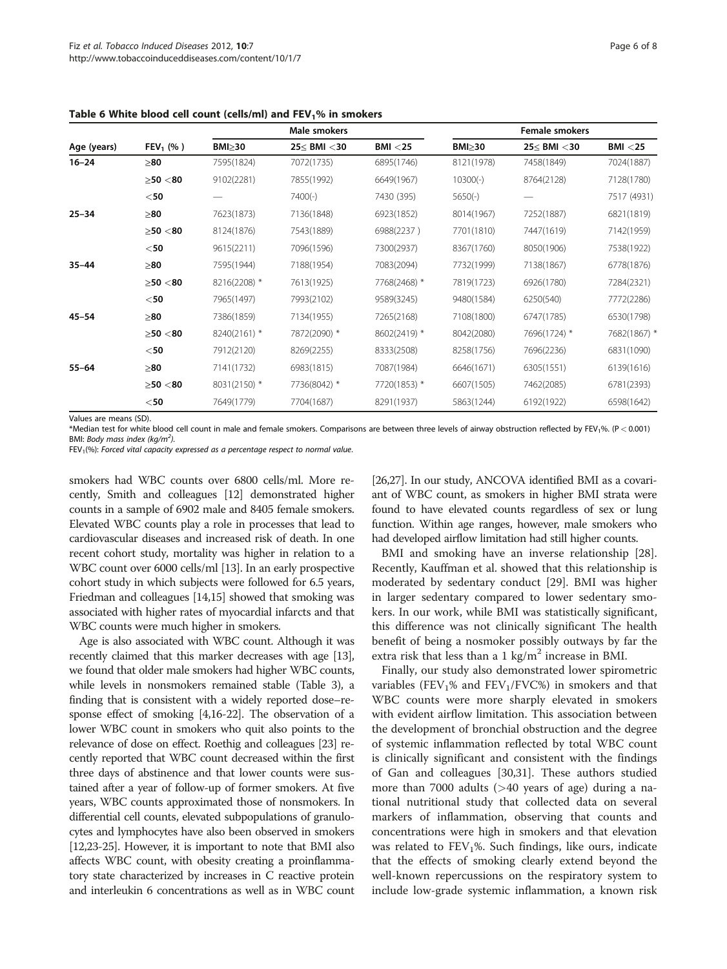|             |             | Male smokers  |              |              | <b>Female smokers</b> |              |              |
|-------------|-------------|---------------|--------------|--------------|-----------------------|--------------|--------------|
| Age (years) | $FEV_1$ (%) | $BMl \geq 30$ | 25≤ BMI <30  | BMI < 25     | $BMl \geq 30$         | 25≤ BMI <30  | BMI < 25     |
| $16 - 24$   | $\geq 80$   | 7595(1824)    | 7072(1735)   | 6895(1746)   | 8121(1978)            | 7458(1849)   | 7024(1887)   |
|             | >50 < 80    | 9102(2281)    | 7855(1992)   | 6649(1967)   | $10300(-)$            | 8764(2128)   | 7128(1780)   |
|             | $<$ 50      |               | $7400(-)$    | 7430 (395)   | $5650(-)$             |              | 7517 (4931)  |
| $25 - 34$   | $\geq 80$   | 7623(1873)    | 7136(1848)   | 6923(1852)   | 8014(1967)            | 7252(1887)   | 6821(1819)   |
|             | > 50 < 80   | 8124(1876)    | 7543(1889)   | 6988(2237)   | 7701(1810)            | 7447(1619)   | 7142(1959)   |
|             | $<$ 50      | 9615(2211)    | 7096(1596)   | 7300(2937)   | 8367(1760)            | 8050(1906)   | 7538(1922)   |
| $35 - 44$   | $\geq 80$   | 7595(1944)    | 7188(1954)   | 7083(2094)   | 7732(1999)            | 7138(1867)   | 6778(1876)   |
|             | > 50 < 80   | 8216(2208) *  | 7613(1925)   | 7768(2468) * | 7819(1723)            | 6926(1780)   | 7284(2321)   |
|             | $<$ 50      | 7965(1497)    | 7993(2102)   | 9589(3245)   | 9480(1584)            | 6250(540)    | 7772(2286)   |
| $45 - 54$   | $\geq 80$   | 7386(1859)    | 7134(1955)   | 7265(2168)   | 7108(1800)            | 6747(1785)   | 6530(1798)   |
|             | > 50 < 80   | 8240(2161) *  | 7872(2090) * | 8602(2419) * | 8042(2080)            | 7696(1724) * | 7682(1867) * |
|             | $<$ 50      | 7912(2120)    | 8269(2255)   | 8333(2508)   | 8258(1756)            | 7696(2236)   | 6831(1090)   |
| $55 - 64$   | $\geq 80$   | 7141(1732)    | 6983(1815)   | 7087(1984)   | 6646(1671)            | 6305(1551)   | 6139(1616)   |
|             | > 50 < 80   | 8031(2150) *  | 7736(8042) * | 7720(1853) * | 6607(1505)            | 7462(2085)   | 6781(2393)   |
|             | $<$ 50      | 7649(1779)    | 7704(1687)   | 8291(1937)   | 5863(1244)            | 6192(1922)   | 6598(1642)   |

<span id="page-5-0"></span>Table 6 White blood cell count (cells/ml) and  $FEV<sub>1</sub>%$  in smokers

Values are means (SD).

\*Median test for white blood cell count in male and female smokers. Comparisons are between three levels of airway obstruction reflected by FEV1%. (P < 0.001) BMI: Body mass index (kg/m<sup>2</sup>).

 $FEV<sub>1</sub>(%)$ : Forced vital capacity expressed as a percentage respect to normal value.

smokers had WBC counts over 6800 cells/ml. More recently, Smith and colleagues [[12](#page-6-0)] demonstrated higher counts in a sample of 6902 male and 8405 female smokers. Elevated WBC counts play a role in processes that lead to cardiovascular diseases and increased risk of death. In one recent cohort study, mortality was higher in relation to a WBC count over 6000 cells/ml [\[13\]](#page-6-0). In an early prospective cohort study in which subjects were followed for 6.5 years, Friedman and colleagues [\[14](#page-6-0),[15\]](#page-6-0) showed that smoking was associated with higher rates of myocardial infarcts and that WBC counts were much higher in smokers.

Age is also associated with WBC count. Although it was recently claimed that this marker decreases with age [\[13](#page-6-0)], we found that older male smokers had higher WBC counts, while levels in nonsmokers remained stable (Table [3](#page-2-0)), a finding that is consistent with a widely reported dose–response effect of smoking [\[4,16-22\]](#page-6-0). The observation of a lower WBC count in smokers who quit also points to the relevance of dose on effect. Roethig and colleagues [[23](#page-6-0)] recently reported that WBC count decreased within the first three days of abstinence and that lower counts were sustained after a year of follow-up of former smokers. At five years, WBC counts approximated those of nonsmokers. In differential cell counts, elevated subpopulations of granulocytes and lymphocytes have also been observed in smokers [[12,23-25](#page-6-0)]. However, it is important to note that BMI also affects WBC count, with obesity creating a proinflammatory state characterized by increases in C reactive protein and interleukin 6 concentrations as well as in WBC count

[[26,27\]](#page-6-0). In our study, ANCOVA identified BMI as a covariant of WBC count, as smokers in higher BMI strata were found to have elevated counts regardless of sex or lung function. Within age ranges, however, male smokers who had developed airflow limitation had still higher counts.

BMI and smoking have an inverse relationship [\[28](#page-6-0)]. Recently, Kauffman et al. showed that this relationship is moderated by sedentary conduct [[29\]](#page-6-0). BMI was higher in larger sedentary compared to lower sedentary smokers. In our work, while BMI was statistically significant, this difference was not clinically significant The health benefit of being a nosmoker possibly outways by far the extra risk that less than a 1 kg/m<sup>2</sup> increase in BMI.

Finally, our study also demonstrated lower spirometric variables (FEV<sub>1</sub>% and FEV<sub>1</sub>/FVC%) in smokers and that WBC counts were more sharply elevated in smokers with evident airflow limitation. This association between the development of bronchial obstruction and the degree of systemic inflammation reflected by total WBC count is clinically significant and consistent with the findings of Gan and colleagues [[30,31\]](#page-7-0). These authors studied more than 7000 adults (>40 years of age) during a national nutritional study that collected data on several markers of inflammation, observing that counts and concentrations were high in smokers and that elevation was related to  $FEV<sub>1</sub>%$ . Such findings, like ours, indicate that the effects of smoking clearly extend beyond the well-known repercussions on the respiratory system to include low-grade systemic inflammation, a known risk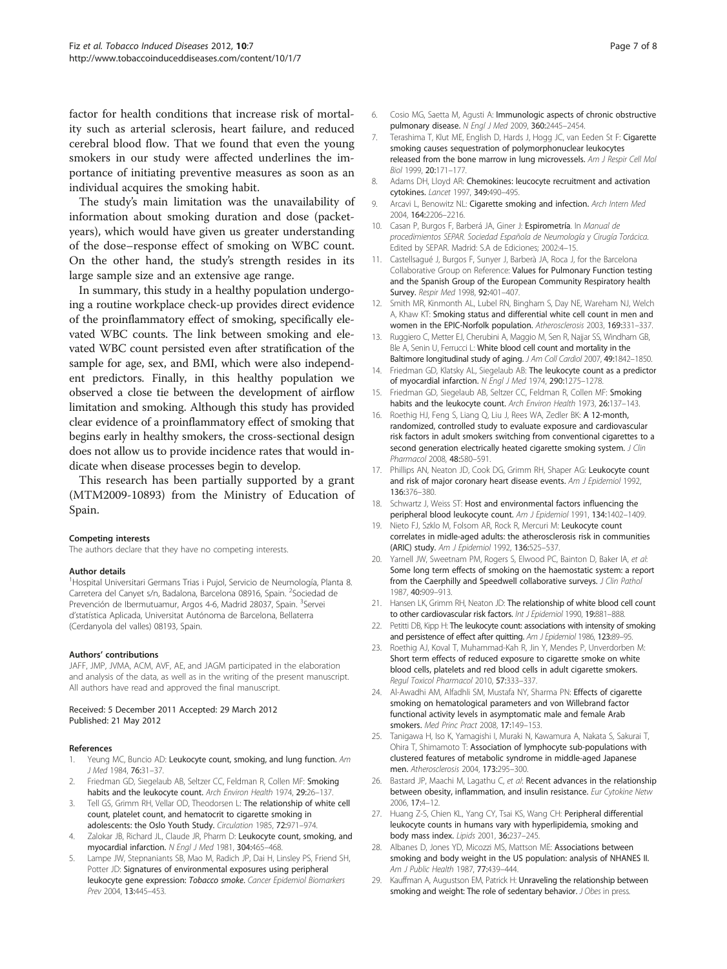<span id="page-6-0"></span>factor for health conditions that increase risk of mortality such as arterial sclerosis, heart failure, and reduced cerebral blood flow. That we found that even the young smokers in our study were affected underlines the importance of initiating preventive measures as soon as an individual acquires the smoking habit.

The study's main limitation was the unavailability of information about smoking duration and dose (packetyears), which would have given us greater understanding of the dose–response effect of smoking on WBC count. On the other hand, the study's strength resides in its large sample size and an extensive age range.

In summary, this study in a healthy population undergoing a routine workplace check-up provides direct evidence of the proinflammatory effect of smoking, specifically elevated WBC counts. The link between smoking and elevated WBC count persisted even after stratification of the sample for age, sex, and BMI, which were also independent predictors. Finally, in this healthy population we observed a close tie between the development of airflow limitation and smoking. Although this study has provided clear evidence of a proinflammatory effect of smoking that begins early in healthy smokers, the cross-sectional design does not allow us to provide incidence rates that would indicate when disease processes begin to develop.

This research has been partially supported by a grant (MTM2009-10893) from the Ministry of Education of Spain.

#### Competing interests

The authors declare that they have no competing interests.

#### Author details

<sup>1</sup> Hospital Universitari Germans Trias i Pujol, Servicio de Neumología, Planta 8. Carretera del Canyet s/n, Badalona, Barcelona 08916, Spain. <sup>2</sup>Sociedad de Prevención de Ibermutuamur, Argos 4-6, Madrid 28037, Spain. <sup>3</sup>Servei d'statística Aplicada, Universitat Autónoma de Barcelona, Bellaterra (Cerdanyola del valles) 08193, Spain.

#### Authors' contributions

JAFF, JMP, JVMA, ACM, AVF, AE, and JAGM participated in the elaboration and analysis of the data, as well as in the writing of the present manuscript. All authors have read and approved the final manuscript.

#### Received: 5 December 2011 Accepted: 29 March 2012 Published: 21 May 2012

#### References

- Yeung MC, Buncio AD: Leukocyte count, smoking, and lung function. Am J Med 1984, 76:31–37.
- Friedman GD, Siegelaub AB, Seltzer CC, Feldman R, Collen MF: Smoking habits and the leukocyte count. Arch Environ Health 1974, 29:26-137.
- 3. Tell GS, Grimm RH, Vellar OD, Theodorsen L: The relationship of white cell count, platelet count, and hematocrit to cigarette smoking in adolescents: the Oslo Youth Study. Circulation 1985, 72:971–974.
- 4. Zalokar JB, Richard JL, Claude JR, Pharm D: Leukocyte count, smoking, and myocardial infarction. N Engl J Med 1981, 304:465–468.
- Lampe JW, Stepnaniants SB, Mao M, Radich JP, Dai H, Linsley PS, Friend SH, Potter JD: Signatures of environmental exposures using peripheral leukocyte gene expression: Tobacco smoke. Cancer Epidemiol Biomarkers Prev 2004, 13:445–453.
- 6. Cosio MG, Saetta M, Agusti A: Immunologic aspects of chronic obstructive pulmonary disease. N Engl J Med 2009, 360:2445–2454.
- 7. Terashima T, Klut ME, English D, Hards J, Hogg JC, van Eeden St F: Cigarette smoking causes sequestration of polymorphonuclear leukocytes released from the bone marrow in lung microvessels. Am J Respir Cell Mol Biol 1999, 20:171–177.
- 8. Adams DH, Lloyd AR: Chemokines: leucocyte recruitment and activation cytokines. Lancet 1997, 349:490-495.
- 9. Arcavi L, Benowitz NL: Cigarette smoking and infection. Arch Intern Med 2004, 164:2206–2216.
- 10. Casan P, Burgos F, Barberá JA, Giner J: Espirometría. In Manual de procedimientos SEPAR. Sociedad Española de Neumología y Cirugía Torácica. Edited by SEPAR. Madrid: S.A de Ediciones; 2002:4–15.
- 11. Castellsagué J, Burgos F, Sunyer J, Barberà JA, Roca J, for the Barcelona Collaborative Group on Reference: Values for Pulmonary Function testing and the Spanish Group of the European Community Respiratory health Survey. Respir Med 1998, 92:401–407.
- 12. Smith MR, Kinmonth AL, Lubel RN, Bingham S, Day NE, Wareham NJ, Welch A, Khaw KT: Smoking status and differential white cell count in men and women in the EPIC-Norfolk population. Atherosclerosis 2003, 169:331-337.
- 13. Ruggiero C, Metter EJ, Cherubini A, Maggio M, Sen R, Najjar SS, Windham GB, Ble A, Senin U, Ferrucci L: White blood cell count and mortality in the Baltimore longitudinal study of aging. J Am Coll Cardiol 2007, 49:1842–1850.
- 14. Friedman GD, Klatsky AL, Siegelaub AB: The leukocyte count as a predictor of myocardial infarction. N Engl J Med 1974, 290:1275–1278.
- 15. Friedman GD, Siegelaub AB, Seltzer CC, Feldman R, Collen MF: Smoking habits and the leukocyte count. Arch Environ Health 1973, 26:137-143.
- 16. Roethig HJ, Feng S, Liang Q, Liu J, Rees WA, Zedler BK: A 12-month, randomized, controlled study to evaluate exposure and cardiovascular risk factors in adult smokers switching from conventional cigarettes to a second generation electrically heated cigarette smoking system. J Clin Pharmacol 2008, 48:580–591.
- 17. Phillips AN, Neaton JD, Cook DG, Grimm RH, Shaper AG: Leukocyte count and risk of major coronary heart disease events. Am J Epidemiol 1992, 136:376–380.
- 18. Schwartz J, Weiss ST: Host and environmental factors influencing the peripheral blood leukocyte count. Am J Epidemiol 1991, 134:1402–1409.
- 19. Nieto FJ, Szklo M, Folsom AR, Rock R, Mercuri M: Leukocyte count correlates in midle-aged adults: the atherosclerosis risk in communities (ARIC) study. Am J Epidemiol 1992, 136:525–537.
- Yarnell JW, Sweetnam PM, Rogers S, Elwood PC, Bainton D, Baker IA, et al: Some long term effects of smoking on the haemostatic system: a report from the Caerphilly and Speedwell collaborative surveys. J Clin Pathol 1987, 40:909–913.
- 21. Hansen LK, Grimm RH, Neaton JD: The relationship of white blood cell count to other cardiovascular risk factors. Int J Epidemiol 1990, 19:881-888.
- 22. Petitti DB, Kipp H: The leukocyte count: associations with intensity of smoking and persistence of effect after quitting. Am J Epidemiol 1986, 123:89-95.
- 23. Roethig AJ, Koval T, Muhammad-Kah R, Jin Y, Mendes P, Unverdorben M: Short term effects of reduced exposure to cigarette smoke on white blood cells, platelets and red blood cells in adult cigarette smokers. Regul Toxicol Pharmacol 2010, 57:333–337.
- 24. Al-Awadhi AM, Alfadhli SM, Mustafa NY, Sharma PN: Effects of cigarette smoking on hematological parameters and von Willebrand factor functional activity levels in asymptomatic male and female Arab smokers. Med Princ Pract 2008, 17:149–153.
- 25. Tanigawa H, Iso K, Yamagishi I, Muraki N, Kawamura A, Nakata S, Sakurai T, Ohira T, Shimamoto T: Association of lymphocyte sub-populations with clustered features of metabolic syndrome in middle-aged Japanese men. Atherosclerosis 2004, 173:295–300.
- Bastard JP, Maachi M, Lagathu C, et al: Recent advances in the relationship between obesity, inflammation, and insulin resistance. Eur Cytokine Netw 2006, 17:4–12.
- 27. Huang Z-S, Chien KL, Yang CY, Tsai KS, Wang CH: Peripheral differential leukocyte counts in humans vary with hyperlipidemia, smoking and body mass index. Lipids 2001, 36:237–245.
- 28. Albanes D, Jones YD, Micozzi MS, Mattson MF: Associations between smoking and body weight in the US population: analysis of NHANES II. Am J Public Health 1987, 77:439–444.
- 29. Kauffman A, Augustson EM, Patrick H: Unraveling the relationship between smoking and weight: The role of sedentary behavior. J Obes in press.